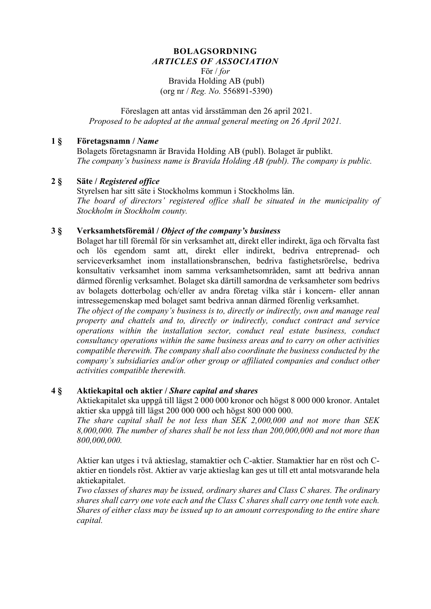#### **BOLAGSORDNING** *ARTICLES OF ASSOCIATION* För / *for* Bravida Holding AB (publ)

(org nr / *Reg. No.* 556891-5390)

Föreslagen att antas vid årsstämman den 26 april 2021. *Proposed to be adopted at the annual general meeting on 26 April 2021.*

#### **1 § Företagsnamn /** *Name*

Bolagets företagsnamn är Bravida Holding AB (publ). Bolaget är publikt. *The company's business name is Bravida Holding AB (publ). The company is public.*

## **2 § Säte /** *Registered office*

Styrelsen har sitt säte i Stockholms kommun i Stockholms län. *The board of directors' registered office shall be situated in the municipality of Stockholm in Stockholm county.*

## **3 § Verksamhetsföremål /** *Object of the company's business*

Bolaget har till föremål för sin verksamhet att, direkt eller indirekt, äga och förvalta fast och lös egendom samt att, direkt eller indirekt, bedriva entreprenad- och serviceverksamhet inom installationsbranschen, bedriva fastighetsrörelse, bedriva konsultativ verksamhet inom samma verksamhetsområden, samt att bedriva annan därmed förenlig verksamhet. Bolaget ska därtill samordna de verksamheter som bedrivs av bolagets dotterbolag och/eller av andra företag vilka står i koncern- eller annan intressegemenskap med bolaget samt bedriva annan därmed förenlig verksamhet.

*The object of the company's business is to, directly or indirectly, own and manage real property and chattels and to, directly or indirectly, conduct contract and service operations within the installation sector, conduct real estate business, conduct consultancy operations within the same business areas and to carry on other activities compatible therewith. The company shall also coordinate the business conducted by the company's subsidiaries and/or other group or affiliated companies and conduct other activities compatible therewith.*

#### **4 § Aktiekapital och aktier /** *Share capital and shares*

Aktiekapitalet ska uppgå till lägst 2 000 000 kronor och högst 8 000 000 kronor. Antalet aktier ska uppgå till lägst 200 000 000 och högst 800 000 000.

*The share capital shall be not less than SEK 2,000,000 and not more than SEK 8,000,000. The number of shares shall be not less than 200,000,000 and not more than 800,000,000.* 

Aktier kan utges i två aktieslag, stamaktier och C-aktier. Stamaktier har en röst och Caktier en tiondels röst. Aktier av varje aktieslag kan ges ut till ett antal motsvarande hela aktiekapitalet.

*Two classes of shares may be issued, ordinary shares and Class C shares. The ordinary shares shall carry one vote each and the Class C shares shall carry one tenth vote each. Shares of either class may be issued up to an amount corresponding to the entire share capital.*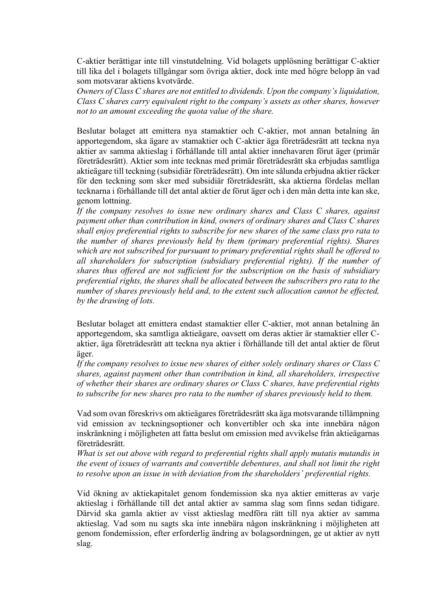C-aktier berättigar inte till vinstutdelning. Vid bolagets upplösning berättigar C-aktier till lika del i bolagets tillgångar som övriga aktier, dock inte med högre belopp än vad som motsvarar aktiens kvotvärde.

*Owners of Class C shares are not entitled to dividends. Upon the company's liquidation, Class C shares carry equivalent right to the company's assets as other shares, however not to an amount exceeding the quota value of the share.*

Beslutar bolaget att emittera nya stamaktier och C-aktier, mot annan betalning än apportegendom, ska ägare av stamaktier och C-aktier äga företrädesrätt att teckna nya aktier av samma aktieslag i förhållande till antal aktier innehavaren förut äger (primär företrädesrätt). Aktier som inte tecknas med primär företrädesrätt ska erbjudas samtliga aktieägare till teckning (subsidiär företrädesrätt). Om inte sålunda erbjudna aktier räcker för den teckning som sker med subsidiär företrädesrätt, ska aktierna fördelas mellan tecknarna i förhållande till det antal aktier de förut äger och i den mån detta inte kan ske, genom lottning.

*If the company resolves to issue new ordinary shares and Class C shares, against payment other than contribution in kind, owners of ordinary shares and Class C shares shall enjoy preferential rights to subscribe for new shares of the same class pro rata to the number of shares previously held by them (primary preferential rights). Shares which are not subscribed for pursuant to primary preferential rights shall be offered to all shareholders for subscription (subsidiary preferential rights). If the number of shares thus offered are not sufficient for the subscription on the basis of subsidiary preferential rights, the shares shall be allocated between the subscribers pro rata to the number of shares previously held and, to the extent such allocation cannot be effected, by the drawing of lots.*

Beslutar bolaget att emittera endast stamaktier eller C-aktier, mot annan betalning än apportegendom, ska samtliga aktieägare, oavsett om deras aktier är stamaktier eller Caktier, äga företrädesrätt att teckna nya aktier i förhållande till det antal aktier de förut äger.

*If the company resolves to issue new shares of either solely ordinary shares or Class C shares, against payment other than contribution in kind, all shareholders, irrespective of whether their shares are ordinary shares or Class C shares, have preferential rights to subscribe for new shares pro rata to the number of shares previously held to them.* 

Vad som ovan föreskrivs om aktieägares företrädesrätt ska äga motsvarande tillämpning vid emission av teckningsoptioner och konvertibler och ska inte innebära någon inskränkning i möjligheten att fatta beslut om emission med avvikelse från aktieägarnas företrädesrätt.

*What is set out above with regard to preferential rights shall apply mutatis mutandis in the event of issues of warrants and convertible debentures, and shall not limit the right to resolve upon an issue in with deviation from the shareholders' preferential rights.*

Vid ökning av aktiekapitalet genom fondemission ska nya aktier emitteras av varje aktieslag i förhållande till det antal aktier av samma slag som finns sedan tidigare. Därvid ska gamla aktier av visst aktieslag medföra rätt till nya aktier av samma aktieslag. Vad som nu sagts ska inte innebära någon inskränkning i möjligheten att genom fondemission, efter erforderlig ändring av bolagsordningen, ge ut aktier av nytt slag.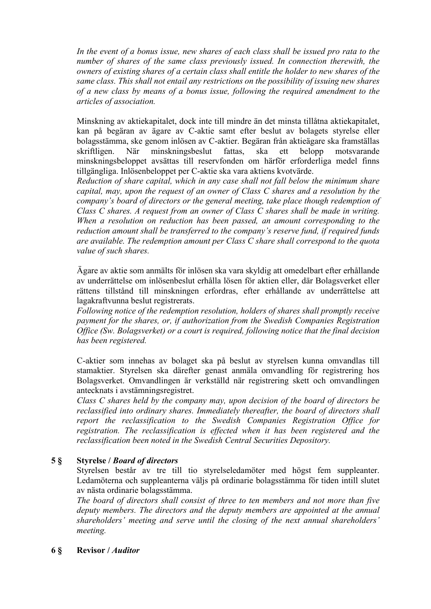*In the event of a bonus issue, new shares of each class shall be issued pro rata to the number of shares of the same class previously issued. In connection therewith, the owners of existing shares of a certain class shall entitle the holder to new shares of the same class. This shall not entail any restrictions on the possibility of issuing new shares of a new class by means of a bonus issue, following the required amendment to the articles of association.*

Minskning av aktiekapitalet, dock inte till mindre än det minsta tillåtna aktiekapitalet, kan på begäran av ägare av C-aktie samt efter beslut av bolagets styrelse eller bolagsstämma, ske genom inlösen av C-aktier. Begäran från aktieägare ska framställas skriftligen. När minskningsbeslut fattas, ska ett belopp motsvarande minskningsbeloppet avsättas till reservfonden om härför erforderliga medel finns tillgängliga. Inlösenbeloppet per C-aktie ska vara aktiens kvotvärde.

*Reduction of share capital, which in any case shall not fall below the minimum share capital, may, upon the request of an owner of Class C shares and a resolution by the company's board of directors or the general meeting, take place though redemption of Class C shares. A request from an owner of Class C shares shall be made in writing. When a resolution on reduction has been passed, an amount corresponding to the reduction amount shall be transferred to the company's reserve fund, if required funds are available. The redemption amount per Class C share shall correspond to the quota value of such shares.*

Ägare av aktie som anmälts för inlösen ska vara skyldig att omedelbart efter erhållande av underrättelse om inlösenbeslut erhålla lösen för aktien eller, där Bolagsverket eller rättens tillstånd till minskningen erfordras, efter erhållande av underrättelse att lagakraftvunna beslut registrerats.

*Following notice of the redemption resolution, holders of shares shall promptly receive payment for the shares, or, if authorization from the Swedish Companies Registration Office (Sw. Bolagsverket) or a court is required, following notice that the final decision has been registered.*

C-aktier som innehas av bolaget ska på beslut av styrelsen kunna omvandlas till stamaktier. Styrelsen ska därefter genast anmäla omvandling för registrering hos Bolagsverket. Omvandlingen är verkställd när registrering skett och omvandlingen antecknats i avstämningsregistret.

*Class C shares held by the company may, upon decision of the board of directors be reclassified into ordinary shares. Immediately thereafter, the board of directors shall report the reclassification to the Swedish Companies Registration Office for registration. The reclassification is effected when it has been registered and the reclassification been noted in the Swedish Central Securities Depository.*

# **5 § Styrelse /** *Board of directors*

Styrelsen består av tre till tio styrelseledamöter med högst fem suppleanter. Ledamöterna och suppleanterna väljs på ordinarie bolagsstämma för tiden intill slutet av nästa ordinarie bolagsstämma.

*The board of directors shall consist of three to ten members and not more than five deputy members. The directors and the deputy members are appointed at the annual shareholders' meeting and serve until the closing of the next annual shareholders' meeting.*

# **6 § Revisor /** *Auditor*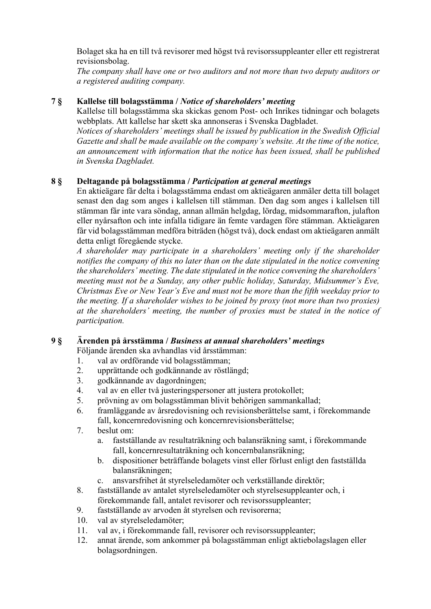Bolaget ska ha en till två revisorer med högst två revisorssuppleanter eller ett registrerat revisionsbolag.

*The company shall have one or two auditors and not more than two deputy auditors or a registered auditing company.*

## **7 § Kallelse till bolagsstämma /** *Notice of shareholders' meeting*

Kallelse till bolagsstämma ska skickas genom Post- och Inrikes tidningar och bolagets webbplats. Att kallelse har skett ska annonseras i Svenska Dagbladet.

*Notices of shareholders' meetings shall be issued by publication in the Swedish Official Gazette and shall be made available on the company's website. At the time of the notice, an announcement with information that the notice has been issued, shall be published in Svenska Dagbladet.* 

## **8 § Deltagande på bolagsstämma /** *Participation at general meetings*

En aktieägare får delta i bolagsstämma endast om aktieägaren anmäler detta till bolaget senast den dag som anges i kallelsen till stämman. Den dag som anges i kallelsen till stämman får inte vara söndag, annan allmän helgdag, lördag, midsommarafton, julafton eller nyårsafton och inte infalla tidigare än femte vardagen före stämman. Aktieägaren får vid bolagsstämman medföra biträden (högst två), dock endast om aktieägaren anmält detta enligt föregående stycke.

*A shareholder may participate in a shareholders' meeting only if the shareholder notifies the company of this no later than on the date stipulated in the notice convening the shareholders' meeting. The date stipulated in the notice convening the shareholders' meeting must not be a Sunday, any other public holiday, Saturday, Midsummer's Eve, Christmas Eve or New Year's Eve and must not be more than the fifth weekday prior to the meeting. If a shareholder wishes to be joined by proxy (not more than two proxies) at the shareholders' meeting, the number of proxies must be stated in the notice of participation.*

# **9 § Ärenden på årsstämma /** *Business at annual shareholders' meetings*

Följande ärenden ska avhandlas vid årsstämman:

- 1. val av ordförande vid bolagsstämman;
- 2. upprättande och godkännande av röstlängd;
- 3. godkännande av dagordningen;
- 4. val av en eller två justeringspersoner att justera protokollet;
- 5. prövning av om bolagsstämman blivit behörigen sammankallad;
- 6. framläggande av årsredovisning och revisionsberättelse samt, i förekommande fall, koncernredovisning och koncernrevisionsberättelse;
- 7. beslut om:
	- a. fastställande av resultaträkning och balansräkning samt, i förekommande fall, koncernresultaträkning och koncernbalansräkning;
	- b. dispositioner beträffande bolagets vinst eller förlust enligt den fastställda balansräkningen;
	- c. ansvarsfrihet åt styrelseledamöter och verkställande direktör;
- 8. fastställande av antalet styrelseledamöter och styrelsesuppleanter och, i förekommande fall, antalet revisorer och revisorssuppleanter;
- 9. fastställande av arvoden åt styrelsen och revisorerna;
- 10. val av styrelseledamöter;
- 11. val av, i förekommande fall, revisorer och revisorssuppleanter;
- 12. annat ärende, som ankommer på bolagsstämman enligt aktiebolagslagen eller bolagsordningen.